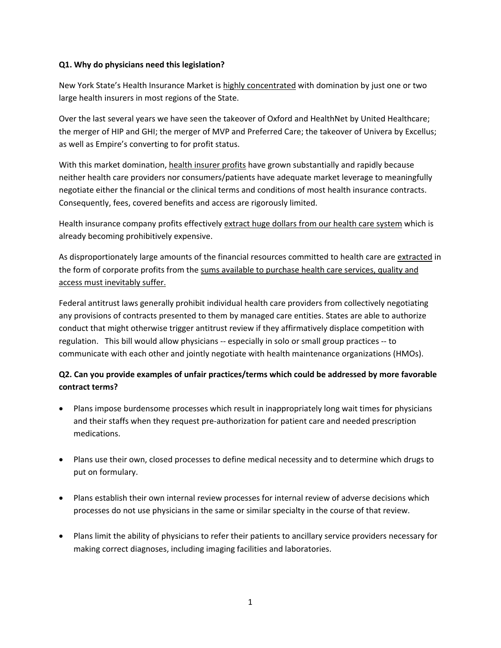# **Q1. Why do physicians need this legislation?**

New York State's Health Insurance Market is highly concentrated with domination by just one or two large health insurers in most regions of the State.

Over the last several years we have seen the takeover of Oxford and HealthNet by United Healthcare; the merger of HIP and GHI; the merger of MVP and Preferred Care; the takeover of Univera by Excellus; as well as Empire's converting to for profit status.

With this market domination, health insurer profits have grown substantially and rapidly because neither health care providers nor consumers/patients have adequate market leverage to meaningfully negotiate either the financial or the clinical terms and conditions of most health insurance contracts. Consequently, fees, covered benefits and access are rigorously limited.

Health insurance company profits effectively extract huge dollars from our health care system which is already becoming prohibitively expensive.

As disproportionately large amounts of the financial resources committed to health care are extracted in the form of corporate profits from the sums available to purchase health care services, quality and access must inevitably suffer.

Federal antitrust laws generally prohibit individual health care providers from collectively negotiating any provisions of contracts presented to them by managed care entities. States are able to authorize conduct that might otherwise trigger antitrust review if they affirmatively displace competition with regulation. This bill would allow physicians -- especially in solo or small group practices -- to communicate with each other and jointly negotiate with health maintenance organizations (HMOs).

# **Q2. Can you provide examples of unfair practices/terms which could be addressed by more favorable contract terms?**

- Plans impose burdensome processes which result in inappropriately long wait times for physicians and their staffs when they request pre‐authorization for patient care and needed prescription medications.
- Plans use their own, closed processes to define medical necessity and to determine which drugs to put on formulary.
- Plans establish their own internal review processes for internal review of adverse decisions which processes do not use physicians in the same or similar specialty in the course of that review.
- Plans limit the ability of physicians to refer their patients to ancillary service providers necessary for making correct diagnoses, including imaging facilities and laboratories.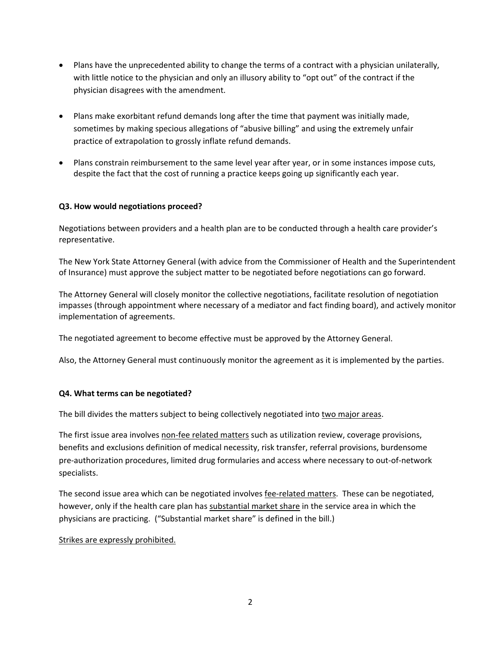- Plans have the unprecedented ability to change the terms of a contract with a physician unilaterally, with little notice to the physician and only an illusory ability to "opt out" of the contract if the physician disagrees with the amendment.
- Plans make exorbitant refund demands long after the time that payment was initially made, sometimes by making specious allegations of "abusive billing" and using the extremely unfair practice of extrapolation to grossly inflate refund demands.
- Plans constrain reimbursement to the same level year after year, or in some instances impose cuts, despite the fact that the cost of running a practice keeps going up significantly each year.

# **Q3. How would negotiations proceed?**

Negotiations between providers and a health plan are to be conducted through a health care provider's representative.

The New York State Attorney General (with advice from the Commissioner of Health and the Superintendent of Insurance) must approve the subject matter to be negotiated before negotiations can go forward.

The Attorney General will closely monitor the collective negotiations, facilitate resolution of negotiation impasses (through appointment where necessary of a mediator and fact finding board), and actively monitor implementation of agreements.

The negotiated agreement to become effective must be approved by the Attorney General.

Also, the Attorney General must continuously monitor the agreement as it is implemented by the parties.

#### **Q4. What terms can be negotiated?**

The bill divides the matters subject to being collectively negotiated into two major areas.

The first issue area involves non-fee related matters such as utilization review, coverage provisions, benefits and exclusions definition of medical necessity, risk transfer, referral provisions, burdensome pre‐authorization procedures, limited drug formularies and access where necessary to out‐of‐network specialists.

The second issue area which can be negotiated involves fee‐related matters. These can be negotiated, however, only if the health care plan has substantial market share in the service area in which the physicians are practicing. ("Substantial market share" is defined in the bill.)

#### Strikes are expressly prohibited.